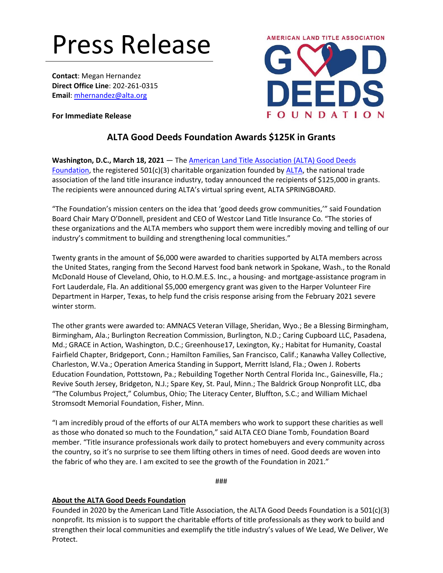## Press Release

**Contact**: Megan Hernandez **Direct Office Line**: 202-261-0315 **Email**[: mhernandez@alta.org](mailto:mhernandez@alta.org)

**For Immediate Release**



## **ALTA Good Deeds Foundation Awards \$125K in Grants**

**Washington, D.C., March 18, 2021** — The [American Land Title Association \(ALTA\) Good Deeds](https://www.altagooddeeds.org/)  [Foundation,](https://www.altagooddeeds.org/) the registered 501(c)(3) charitable organization founded by [ALTA,](https://www.alta.org/) the national trade association of the land title insurance industry, today announced the recipients of \$125,000 in grants. The recipients were announced during ALTA's virtual spring event, ALTA SPRINGBOARD.

"The Foundation's mission centers on the idea that 'good deeds grow communities,'" said Foundation Board Chair Mary O'Donnell, president and CEO of Westcor Land Title Insurance Co. "The stories of these organizations and the ALTA members who support them were incredibly moving and telling of our industry's commitment to building and strengthening local communities."

Twenty grants in the amount of \$6,000 were awarded to charities supported by ALTA members across the United States, ranging from the Second Harvest food bank network in Spokane, Wash., to the Ronald McDonald House of Cleveland, Ohio, to H.O.M.E.S. Inc., a housing- and mortgage-assistance program in Fort Lauderdale, Fla. An additional \$5,000 emergency grant was given to the Harper Volunteer Fire Department in Harper, Texas, to help fund the crisis response arising from the February 2021 severe winter storm.

The other grants were awarded to: AMNACS Veteran Village, Sheridan, Wyo.; Be a Blessing Birmingham, Birmingham, Ala.; Burlington Recreation Commission, Burlington, N.D.; Caring Cupboard LLC, Pasadena, Md.; GRACE in Action, Washington, D.C.; Greenhouse17, Lexington, Ky.; Habitat for Humanity, Coastal Fairfield Chapter, Bridgeport, Conn.; Hamilton Families, San Francisco, Calif.; Kanawha Valley Collective, Charleston, W.Va.; Operation America Standing in Support, Merritt Island, Fla.; Owen J. Roberts Education Foundation, Pottstown, Pa.; Rebuilding Together North Central Florida Inc., Gainesville, Fla.; Revive South Jersey, Bridgeton, N.J.; Spare Key, St. Paul, Minn.; The Baldrick Group Nonprofit LLC, dba "The Columbus Project," Columbus, Ohio; The Literacy Center, Bluffton, S.C.; and William Michael Stromsodt Memorial Foundation, Fisher, Minn.

"I am incredibly proud of the efforts of our ALTA members who work to support these charities as well as those who donated so much to the Foundation," said ALTA CEO Diane Tomb, Foundation Board member. "Title insurance professionals work daily to protect homebuyers and every community across the country, so it's no surprise to see them lifting others in times of need. Good deeds are woven into the fabric of who they are. I am excited to see the growth of the Foundation in 2021."

###

## **About the ALTA Good Deeds Foundation**

Founded in 2020 by the American Land Title Association, the ALTA Good Deeds Foundation is a 501(c)(3) nonprofit. Its mission is to support the charitable efforts of title professionals as they work to build and strengthen their local communities and exemplify the title industry's values of We Lead, We Deliver, We Protect.